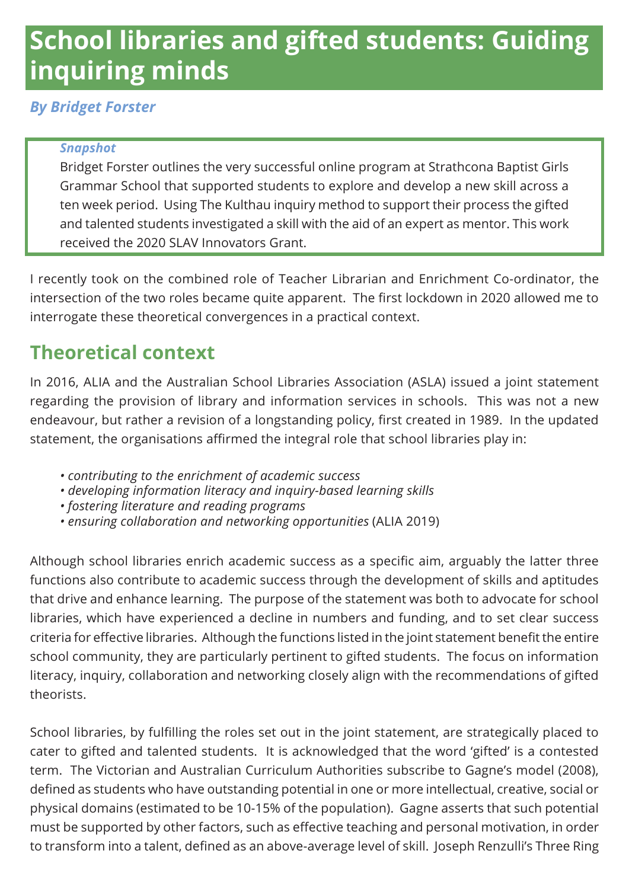# **School libraries and gifted students: Guiding inquiring minds**

#### *By Bridget Forster*

#### *Snapshot*

Bridget Forster outlines the very successful online program at Strathcona Baptist Girls Grammar School that supported students to explore and develop a new skill across a ten week period. Using The Kulthau inquiry method to support their process the gifted and talented students investigated a skill with the aid of an expert as mentor. This work received the 2020 SLAV Innovators Grant.

I recently took on the combined role of Teacher Librarian and Enrichment Co-ordinator, the intersection of the two roles became quite apparent. The first lockdown in 2020 allowed me to interrogate these theoretical convergences in a practical context.

## **Theoretical context**

In 2016, ALIA and the Australian School Libraries Association (ASLA) issued a joint statement regarding the provision of library and information services in schools. This was not a new endeavour, but rather a revision of a longstanding policy, first created in 1989. In the updated statement, the organisations affirmed the integral role that school libraries play in:

- *• contributing to the enrichment of academic success*
- *• developing information literacy and inquiry-based learning skills*
- *• fostering literature and reading programs*
- *• ensuring collaboration and networking opportunities* (ALIA 2019)

Although school libraries enrich academic success as a specific aim, arguably the latter three functions also contribute to academic success through the development of skills and aptitudes that drive and enhance learning. The purpose of the statement was both to advocate for school libraries, which have experienced a decline in numbers and funding, and to set clear success criteria for effective libraries. Although the functions listed in the joint statement benefit the entire school community, they are particularly pertinent to gifted students. The focus on information literacy, inquiry, collaboration and networking closely align with the recommendations of gifted theorists.

School libraries, by fulfilling the roles set out in the joint statement, are strategically placed to cater to gifted and talented students. It is acknowledged that the word 'gifted' is a contested term. The Victorian and Australian Curriculum Authorities subscribe to Gagne's model (2008), defined as students who have outstanding potential in one or more intellectual, creative, social or physical domains (estimated to be 10-15% of the population). Gagne asserts that such potential must be supported by other factors, such as effective teaching and personal motivation, in order to transform into a talent, defined as an above-average level of skill. Joseph Renzulli's Three Ring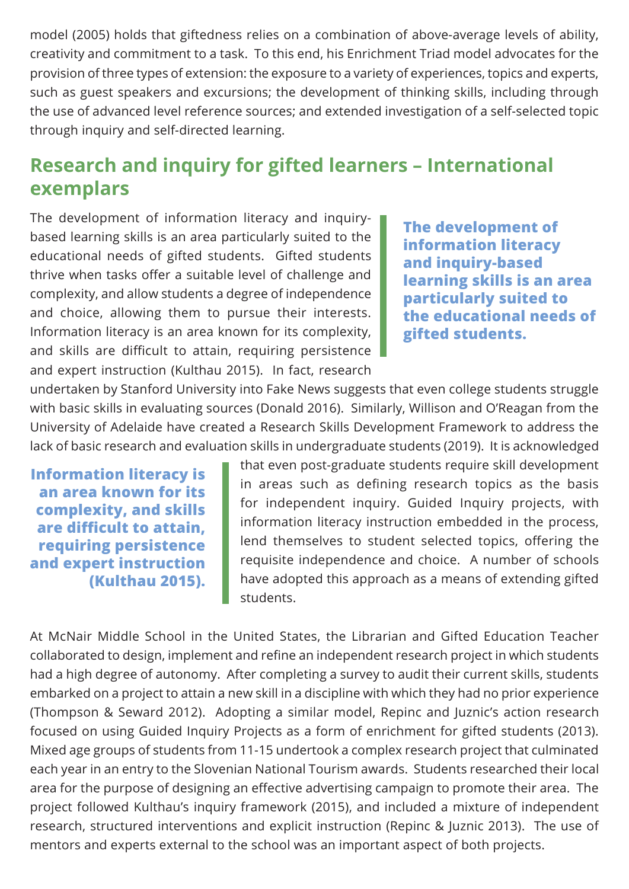model (2005) holds that giftedness relies on a combination of above-average levels of ability, creativity and commitment to a task. To this end, his Enrichment Triad model advocates for the provision of three types of extension: the exposure to a variety of experiences, topics and experts, such as guest speakers and excursions; the development of thinking skills, including through the use of advanced level reference sources; and extended investigation of a self-selected topic through inquiry and self-directed learning.

### **Research and inquiry for gifted learners – International exemplars**

The development of information literacy and inquirybased learning skills is an area particularly suited to the educational needs of gifted students. Gifted students thrive when tasks offer a suitable level of challenge and complexity, and allow students a degree of independence and choice, allowing them to pursue their interests. Information literacy is an area known for its complexity, and skills are difficult to attain, requiring persistence and expert instruction (Kulthau 2015). In fact, research

**The development of information literacy and inquiry-based learning skills is an area particularly suited to the educational needs of gifted students.**

undertaken by Stanford University into Fake News suggests that even college students struggle with basic skills in evaluating sources (Donald 2016). Similarly, Willison and O'Reagan from the University of Adelaide have created a Research Skills Development Framework to address the lack of basic research and evaluation skills in undergraduate students (2019). It is acknowledged

**Information literacy is an area known for its complexity, and skills are difficult to attain, requiring persistence and expert instruction (Kulthau 2015).**

that even post-graduate students require skill development in areas such as defining research topics as the basis for independent inquiry. Guided Inquiry projects, with information literacy instruction embedded in the process, lend themselves to student selected topics, offering the requisite independence and choice. A number of schools have adopted this approach as a means of extending gifted students.

At McNair Middle School in the United States, the Librarian and Gifted Education Teacher collaborated to design, implement and refine an independent research project in which students had a high degree of autonomy. After completing a survey to audit their current skills, students embarked on a project to attain a new skill in a discipline with which they had no prior experience (Thompson & Seward 2012). Adopting a similar model, Repinc and Juznic's action research focused on using Guided Inquiry Projects as a form of enrichment for gifted students (2013). Mixed age groups of students from 11-15 undertook a complex research project that culminated each year in an entry to the Slovenian National Tourism awards. Students researched their local area for the purpose of designing an effective advertising campaign to promote their area. The project followed Kulthau's inquiry framework (2015), and included a mixture of independent research, structured interventions and explicit instruction (Repinc & Juznic 2013). The use of mentors and experts external to the school was an important aspect of both projects.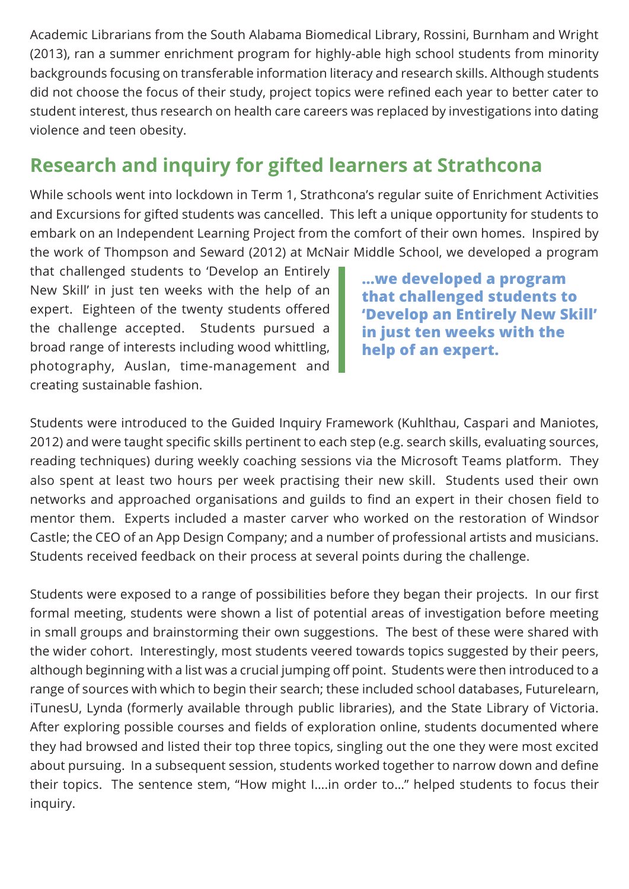Academic Librarians from the South Alabama Biomedical Library, Rossini, Burnham and Wright (2013), ran a summer enrichment program for highly-able high school students from minority backgrounds focusing on transferable information literacy and research skills. Although students did not choose the focus of their study, project topics were refined each year to better cater to student interest, thus research on health care careers was replaced by investigations into dating violence and teen obesity.

### **Research and inquiry for gifted learners at Strathcona**

While schools went into lockdown in Term 1, Strathcona's regular suite of Enrichment Activities and Excursions for gifted students was cancelled. This left a unique opportunity for students to embark on an Independent Learning Project from the comfort of their own homes. Inspired by the work of Thompson and Seward (2012) at McNair Middle School, we developed a program

that challenged students to 'Develop an Entirely New Skill' in just ten weeks with the help of an expert. Eighteen of the twenty students offered the challenge accepted. Students pursued a broad range of interests including wood whittling, photography, Auslan, time-management and creating sustainable fashion.

**…we developed a program that challenged students to 'Develop an Entirely New Skill' in just ten weeks with the help of an expert.** 

Students were introduced to the Guided Inquiry Framework (Kuhlthau, Caspari and Maniotes, 2012) and were taught specific skills pertinent to each step (e.g. search skills, evaluating sources, reading techniques) during weekly coaching sessions via the Microsoft Teams platform. They also spent at least two hours per week practising their new skill. Students used their own networks and approached organisations and guilds to find an expert in their chosen field to mentor them. Experts included a master carver who worked on the restoration of Windsor Castle; the CEO of an App Design Company; and a number of professional artists and musicians. Students received feedback on their process at several points during the challenge.

Students were exposed to a range of possibilities before they began their projects. In our first formal meeting, students were shown a list of potential areas of investigation before meeting in small groups and brainstorming their own suggestions. The best of these were shared with the wider cohort. Interestingly, most students veered towards topics suggested by their peers, although beginning with a list was a crucial jumping off point. Students were then introduced to a range of sources with which to begin their search; these included school databases, Futurelearn, iTunesU, Lynda (formerly available through public libraries), and the State Library of Victoria. After exploring possible courses and fields of exploration online, students documented where they had browsed and listed their top three topics, singling out the one they were most excited about pursuing. In a subsequent session, students worked together to narrow down and define their topics. The sentence stem, "How might I….in order to…" helped students to focus their inquiry.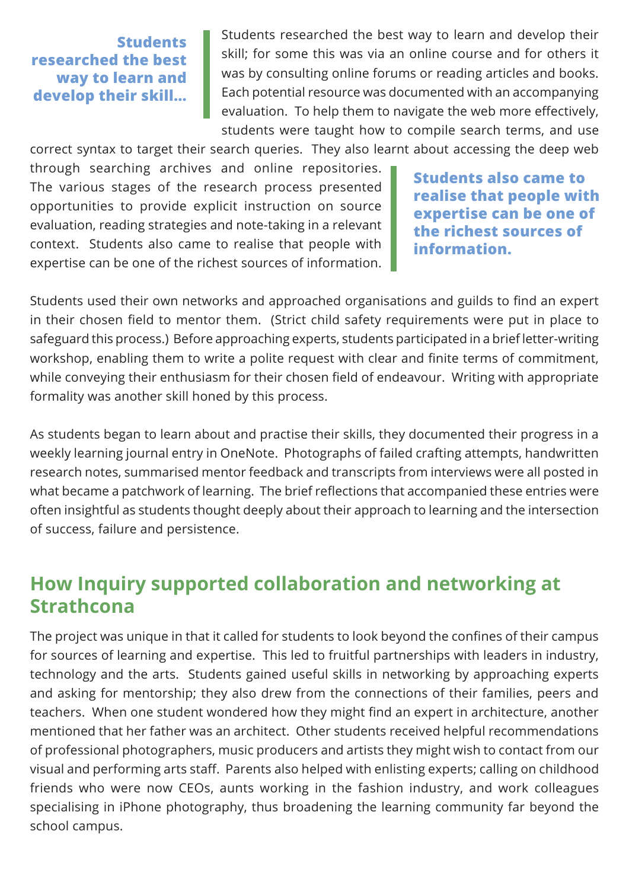**Students researched the best way to learn and develop their skill…**

Students researched the best way to learn and develop their skill; for some this was via an online course and for others it was by consulting online forums or reading articles and books. Each potential resource was documented with an accompanying evaluation. To help them to navigate the web more effectively, students were taught how to compile search terms, and use

correct syntax to target their search queries. They also learnt about accessing the deep web through searching archives and online repositories. The various stages of the research process presented opportunities to provide explicit instruction on source evaluation, reading strategies and note-taking in a relevant context. Students also came to realise that people with expertise can be one of the richest sources of information.

**Students also came to realise that people with expertise can be one of the richest sources of information.**

Students used their own networks and approached organisations and guilds to find an expert in their chosen field to mentor them. (Strict child safety requirements were put in place to safeguard this process.) Before approaching experts, students participated in a brief letter-writing workshop, enabling them to write a polite request with clear and finite terms of commitment, while conveying their enthusiasm for their chosen field of endeavour. Writing with appropriate formality was another skill honed by this process.

As students began to learn about and practise their skills, they documented their progress in a weekly learning journal entry in OneNote. Photographs of failed crafting attempts, handwritten research notes, summarised mentor feedback and transcripts from interviews were all posted in what became a patchwork of learning. The brief reflections that accompanied these entries were often insightful as students thought deeply about their approach to learning and the intersection of success, failure and persistence.

#### **How Inquiry supported collaboration and networking at Strathcona**

The project was unique in that it called for students to look beyond the confines of their campus for sources of learning and expertise. This led to fruitful partnerships with leaders in industry, technology and the arts. Students gained useful skills in networking by approaching experts and asking for mentorship; they also drew from the connections of their families, peers and teachers. When one student wondered how they might find an expert in architecture, another mentioned that her father was an architect. Other students received helpful recommendations of professional photographers, music producers and artists they might wish to contact from our visual and performing arts staff. Parents also helped with enlisting experts; calling on childhood friends who were now CEOs, aunts working in the fashion industry, and work colleagues specialising in iPhone photography, thus broadening the learning community far beyond the school campus.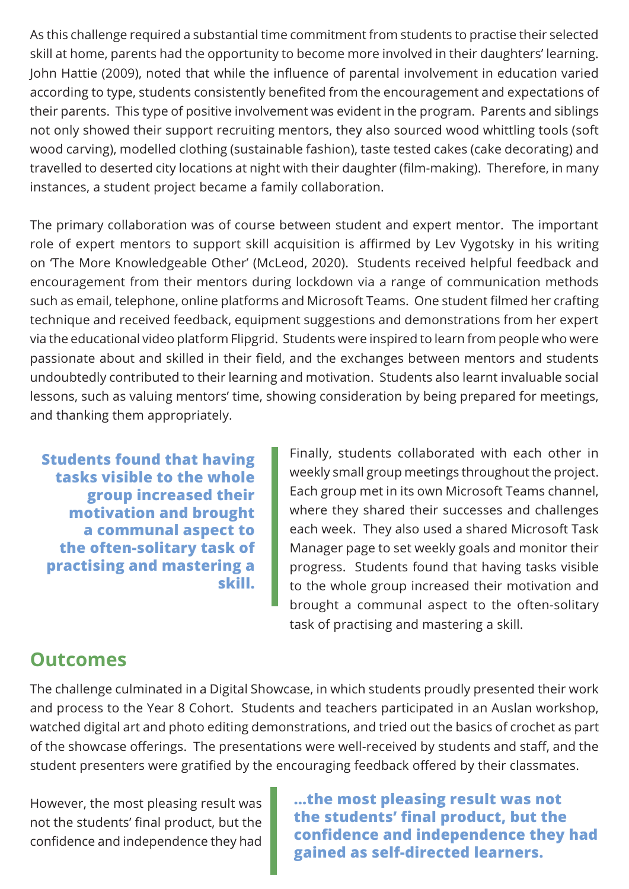As this challenge required a substantial time commitment from students to practise their selected skill at home, parents had the opportunity to become more involved in their daughters' learning. John Hattie (2009), noted that while the influence of parental involvement in education varied according to type, students consistently benefited from the encouragement and expectations of their parents. This type of positive involvement was evident in the program. Parents and siblings not only showed their support recruiting mentors, they also sourced wood whittling tools (soft wood carving), modelled clothing (sustainable fashion), taste tested cakes (cake decorating) and travelled to deserted city locations at night with their daughter (film-making). Therefore, in many instances, a student project became a family collaboration.

The primary collaboration was of course between student and expert mentor. The important role of expert mentors to support skill acquisition is affirmed by Lev Vygotsky in his writing on 'The More Knowledgeable Other' (McLeod, 2020). Students received helpful feedback and encouragement from their mentors during lockdown via a range of communication methods such as email, telephone, online platforms and Microsoft Teams. One student filmed her crafting technique and received feedback, equipment suggestions and demonstrations from her expert via the educational video platform Flipgrid. Students were inspired to learn from people who were passionate about and skilled in their field, and the exchanges between mentors and students undoubtedly contributed to their learning and motivation. Students also learnt invaluable social lessons, such as valuing mentors' time, showing consideration by being prepared for meetings, and thanking them appropriately.

**Students found that having tasks visible to the whole group increased their motivation and brought a communal aspect to the often-solitary task of practising and mastering a skill.**

Finally, students collaborated with each other in weekly small group meetings throughout the project. Each group met in its own Microsoft Teams channel, where they shared their successes and challenges each week. They also used a shared Microsoft Task Manager page to set weekly goals and monitor their progress. Students found that having tasks visible to the whole group increased their motivation and brought a communal aspect to the often-solitary task of practising and mastering a skill.

#### **Outcomes**

The challenge culminated in a Digital Showcase, in which students proudly presented their work and process to the Year 8 Cohort. Students and teachers participated in an Auslan workshop, watched digital art and photo editing demonstrations, and tried out the basics of crochet as part of the showcase offerings. The presentations were well-received by students and staff, and the student presenters were gratified by the encouraging feedback offered by their classmates.

However, the most pleasing result was not the students' final product, but the confidence and independence they had **…the most pleasing result was not the students' final product, but the confidence and independence they had gained as self-directed learners.**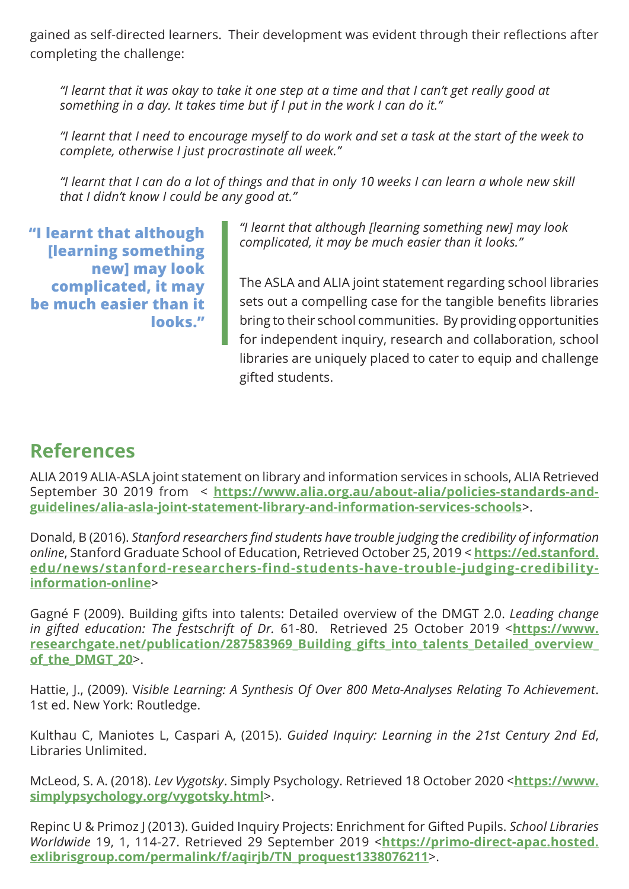gained as self-directed learners. Their development was evident through their reflections after completing the challenge:

*"I learnt that it was okay to take it one step at a time and that I can't get really good at something in a day. It takes time but if I put in the work I can do it."* 

*"I learnt that I need to encourage myself to do work and set a task at the start of the week to complete, otherwise I just procrastinate all week."* 

*"I learnt that I can do a lot of things and that in only 10 weeks I can learn a whole new skill that I didn't know I could be any good at."*

**"I learnt that although [learning something new] may look complicated, it may be much easier than it looks."**

*"I learnt that although [learning something new] may look complicated, it may be much easier than it looks."*

The ASLA and ALIA joint statement regarding school libraries sets out a compelling case for the tangible benefits libraries bring to their school communities. By providing opportunities for independent inquiry, research and collaboration, school libraries are uniquely placed to cater to equip and challenge gifted students.

#### **References**

ALIA 2019 ALIA-ASLA joint statement on library and information services in schools, ALIA Retrieved September 30 2019 from < **[https://www.alia.org.au/about-alia/policies-standards-and](https://www.alia.org.au/about-alia/policies-standards-and-guidelines/alia-asla-joint-statement-library-and-information-services-schools)[guidelines/alia-asla-joint-statement-library-and-information-services-schools](https://www.alia.org.au/about-alia/policies-standards-and-guidelines/alia-asla-joint-statement-library-and-information-services-schools)**>.

Donald, B (2016). *Stanford researchers find students have trouble judging the credibility of information online*, Stanford Graduate School of Education, Retrieved October 25, 2019 < **[https://ed.stanford.](https://ed.stanford.edu/news/stanford-researchers-find-students-have-trouble-judging-credibility-information-online) [edu/news/stanford-researchers-find-students-have-trouble-judging-credibility](https://ed.stanford.edu/news/stanford-researchers-find-students-have-trouble-judging-credibility-information-online)[information-online](https://ed.stanford.edu/news/stanford-researchers-find-students-have-trouble-judging-credibility-information-online)**>

Gagné F (2009). Building gifts into talents: Detailed overview of the DMGT 2.0. *Leading change in gifted education: The festschrift of Dr.* 61-80. Retrieved 25 October 2019 <**[https://www.](https://www.researchgate.net/publication/287583969_Building_gifts_into_talents_Detailed_overview_of_the_DMGT_20) [researchgate.net/publication/287583969\\_Building\\_gifts\\_into\\_talents\\_Detailed\\_overview\\_](https://www.researchgate.net/publication/287583969_Building_gifts_into_talents_Detailed_overview_of_the_DMGT_20) [of\\_the\\_DMGT\\_20](https://www.researchgate.net/publication/287583969_Building_gifts_into_talents_Detailed_overview_of_the_DMGT_20)**>.

Hattie, J., (2009). V*isible Learning: A Synthesis Of Over 800 Meta-Analyses Relating To Achievement*. 1st ed. New York: Routledge.

Kulthau C, Maniotes L, Caspari A, (2015). *Guided Inquiry: Learning in the 21st Century 2nd Ed*, Libraries Unlimited.

McLeod, S. A. (2018). *Lev Vygotsky*. Simply Psychology. Retrieved 18 October 2020 <**[https://www.](https://www.simplypsychology.org/vygotsky.html) [simplypsychology.org/vygotsky.html](https://www.simplypsychology.org/vygotsky.html)**>.

Repinc U & Primoz J (2013). Guided Inquiry Projects: Enrichment for Gifted Pupils. *School Libraries Worldwide* 19, 1, 114-27. Retrieved 29 September 2019 <**[https://primo-direct-apac.hosted.](https://primo-direct-apac.hosted.exlibrisgroup.com/permalink/f/aqirjb/TN_proquest1338076211) [exlibrisgroup.com/permalink/f/aqirjb/TN\\_proquest1338076211](https://primo-direct-apac.hosted.exlibrisgroup.com/permalink/f/aqirjb/TN_proquest1338076211)**>.